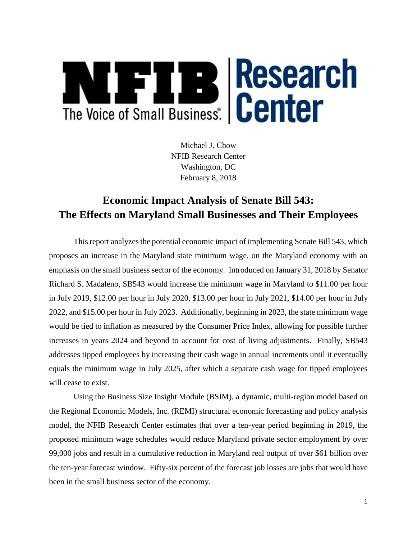

Michael J. Chow NFIB Research Center Washington, DC February 8, 2018

# **Economic Impact Analysis of Senate Bill 543: The Effects on Maryland Small Businesses and Their Employees**

This report analyzes the potential economic impact of implementing Senate Bill 543, which proposes an increase in the Maryland state minimum wage, on the Maryland economy with an emphasis on the small business sector of the economy. Introduced on January 31, 2018 by Senator Richard S. Madaleno, SB543 would increase the minimum wage in Maryland to \$11.00 per hour in July 2019, \$12.00 per hour in July 2020, \$13.00 per hour in July 2021, \$14.00 per hour in July 2022, and \$15.00 per hour in July 2023. Additionally, beginning in 2023, the state minimum wage would be tied to inflation as measured by the Consumer Price Index, allowing for possible further increases in years 2024 and beyond to account for cost of living adjustments. Finally, SB543 addresses tipped employees by increasing their cash wage in annual increments until it eventually equals the minimum wage in July 2025, after which a separate cash wage for tipped employees will cease to exist.

Using the Business Size Insight Module (BSIM), a dynamic, multi-region model based on the Regional Economic Models, Inc. (REMI) structural economic forecasting and policy analysis model, the NFIB Research Center estimates that over a ten-year period beginning in 2019, the proposed minimum wage schedules would reduce Maryland private sector employment by over 99,000 jobs and result in a cumulative reduction in Maryland real output of over \$61 billion over the ten-year forecast window. Fifty-six percent of the forecast job losses are jobs that would have been in the small business sector of the economy.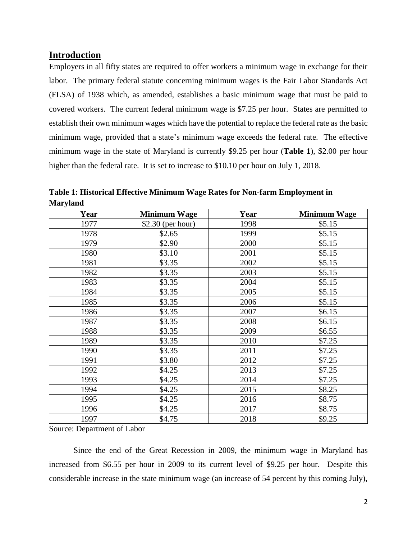### **Introduction**

Employers in all fifty states are required to offer workers a minimum wage in exchange for their labor. The primary federal statute concerning minimum wages is the Fair Labor Standards Act (FLSA) of 1938 which, as amended, establishes a basic minimum wage that must be paid to covered workers. The current federal minimum wage is \$7.25 per hour. States are permitted to establish their own minimum wages which have the potential to replace the federal rate as the basic minimum wage, provided that a state's minimum wage exceeds the federal rate. The effective minimum wage in the state of Maryland is currently \$9.25 per hour (**Table 1**), \$2.00 per hour higher than the federal rate. It is set to increase to \$10.10 per hour on July 1, 2018.

| Year | <b>Minimum Wage</b> | Year | <b>Minimum Wage</b> |
|------|---------------------|------|---------------------|
| 1977 | $$2.30$ (per hour)  | 1998 | \$5.15              |
| 1978 | \$2.65              | 1999 | \$5.15              |
| 1979 | \$2.90              | 2000 | \$5.15              |
| 1980 | \$3.10              | 2001 | \$5.15              |
| 1981 | \$3.35              | 2002 | \$5.15              |
| 1982 | \$3.35              | 2003 | \$5.15              |
| 1983 | \$3.35              | 2004 | \$5.15              |
| 1984 | \$3.35              | 2005 | \$5.15              |
| 1985 | \$3.35              | 2006 | \$5.15              |
| 1986 | \$3.35              | 2007 | \$6.15              |
| 1987 | \$3.35              | 2008 | \$6.15              |
| 1988 | \$3.35              | 2009 | \$6.55              |
| 1989 | \$3.35              | 2010 | \$7.25              |
| 1990 | \$3.35              | 2011 | \$7.25              |
| 1991 | \$3.80              | 2012 | \$7.25              |
| 1992 | \$4.25              | 2013 | \$7.25              |
| 1993 | \$4.25              | 2014 | \$7.25              |
| 1994 | \$4.25              | 2015 | \$8.25              |
| 1995 | \$4.25              | 2016 | \$8.75              |
| 1996 | \$4.25              | 2017 | \$8.75              |
| 1997 | \$4.75              | 2018 | \$9.25              |

**Table 1: Historical Effective Minimum Wage Rates for Non-farm Employment in Maryland**

Source: Department of Labor

Since the end of the Great Recession in 2009, the minimum wage in Maryland has increased from \$6.55 per hour in 2009 to its current level of \$9.25 per hour. Despite this considerable increase in the state minimum wage (an increase of 54 percent by this coming July),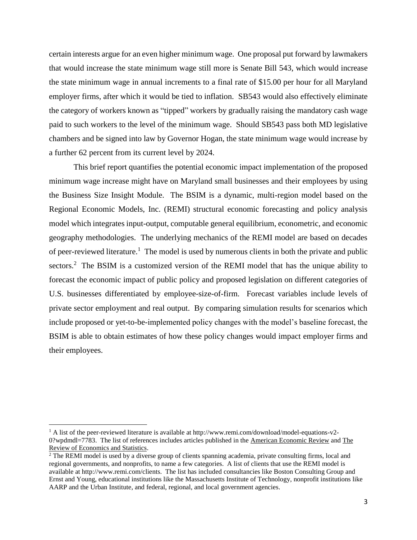certain interests argue for an even higher minimum wage. One proposal put forward by lawmakers that would increase the state minimum wage still more is Senate Bill 543, which would increase the state minimum wage in annual increments to a final rate of \$15.00 per hour for all Maryland employer firms, after which it would be tied to inflation. SB543 would also effectively eliminate the category of workers known as "tipped" workers by gradually raising the mandatory cash wage paid to such workers to the level of the minimum wage. Should SB543 pass both MD legislative chambers and be signed into law by Governor Hogan, the state minimum wage would increase by a further 62 percent from its current level by 2024.

This brief report quantifies the potential economic impact implementation of the proposed minimum wage increase might have on Maryland small businesses and their employees by using the Business Size Insight Module. The BSIM is a dynamic, multi-region model based on the Regional Economic Models, Inc. (REMI) structural economic forecasting and policy analysis model which integrates input-output, computable general equilibrium, econometric, and economic geography methodologies. The underlying mechanics of the REMI model are based on decades of peer-reviewed literature.<sup>1</sup> The model is used by numerous clients in both the private and public sectors.<sup>2</sup> The BSIM is a customized version of the REMI model that has the unique ability to forecast the economic impact of public policy and proposed legislation on different categories of U.S. businesses differentiated by employee-size-of-firm. Forecast variables include levels of private sector employment and real output. By comparing simulation results for scenarios which include proposed or yet-to-be-implemented policy changes with the model's baseline forecast, the BSIM is able to obtain estimates of how these policy changes would impact employer firms and their employees.

 $1$  A list of the peer-reviewed literature is available at http://www.remi.com/download/model-equations-v2-0?wpdmdl=7783. The list of references includes articles published in the American Economic Review and The Review of Economics and Statistics.

<sup>&</sup>lt;sup>2</sup> The REMI model is used by a diverse group of clients spanning academia, private consulting firms, local and regional governments, and nonprofits, to name a few categories. A list of clients that use the REMI model is available at http://www.remi.com/clients. The list has included consultancies like Boston Consulting Group and Ernst and Young, educational institutions like the Massachusetts Institute of Technology, nonprofit institutions like AARP and the Urban Institute, and federal, regional, and local government agencies.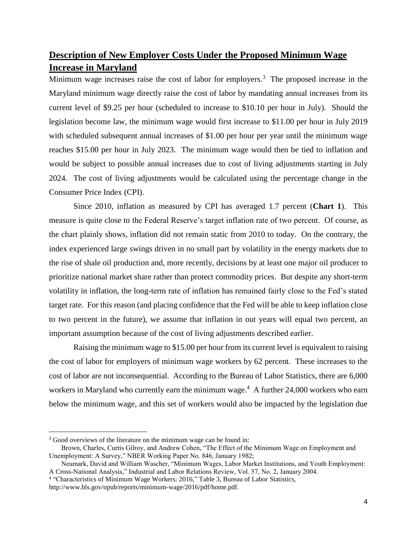# **Description of New Employer Costs Under the Proposed Minimum Wage Increase in Maryland**

Minimum wage increases raise the cost of labor for employers.<sup>3</sup> The proposed increase in the Maryland minimum wage directly raise the cost of labor by mandating annual increases from its current level of \$9.25 per hour (scheduled to increase to \$10.10 per hour in July). Should the legislation become law, the minimum wage would first increase to \$11.00 per hour in July 2019 with scheduled subsequent annual increases of \$1.00 per hour per year until the minimum wage reaches \$15.00 per hour in July 2023. The minimum wage would then be tied to inflation and would be subject to possible annual increases due to cost of living adjustments starting in July 2024. The cost of living adjustments would be calculated using the percentage change in the Consumer Price Index (CPI).

Since 2010, inflation as measured by CPI has averaged 1.7 percent (**Chart 1**). This measure is quite close to the Federal Reserve's target inflation rate of two percent. Of course, as the chart plainly shows, inflation did not remain static from 2010 to today. On the contrary, the index experienced large swings driven in no small part by volatility in the energy markets due to the rise of shale oil production and, more recently, decisions by at least one major oil producer to prioritize national market share rather than protect commodity prices. But despite any short-term volatility in inflation, the long-term rate of inflation has remained fairly close to the Fed's stated target rate. For this reason (and placing confidence that the Fed will be able to keep inflation close to two percent in the future), we assume that inflation in out years will equal two percent, an important assumption because of the cost of living adjustments described earlier.

Raising the minimum wage to \$15.00 per hour from its current level is equivalent to raising the cost of labor for employers of minimum wage workers by 62 percent. These increases to the cost of labor are not inconsequential. According to the Bureau of Labor Statistics, there are 6,000 workers in Maryland who currently earn the minimum wage.<sup>4</sup> A further 24,000 workers who earn below the minimum wage, and this set of workers would also be impacted by the legislation due

 $\overline{\phantom{a}}$ 

<sup>&</sup>lt;sup>3</sup> Good overviews of the literature on the minimum wage can be found in:

Brown, Charles, Curtis Gilroy, and Andrew Cohen, "The Effect of the Minimum Wage on Employment and Unemployment: A Survey," NBER Working Paper No. 846, January 1982;

Neumark, David and William Wascher, "Minimum Wages, Labor Market Institutions, and Youth Employment: A Cross-National Analysis," Industrial and Labor Relations Review, Vol. 57, No. 2, January 2004.

<sup>&</sup>lt;sup>4</sup> "Characteristics of Minimum Wage Workers: 2016," Table 3, Bureau of Labor Statistics,

http://www.bls.gov/opub/reports/minimum-wage/2016/pdf/home.pdf.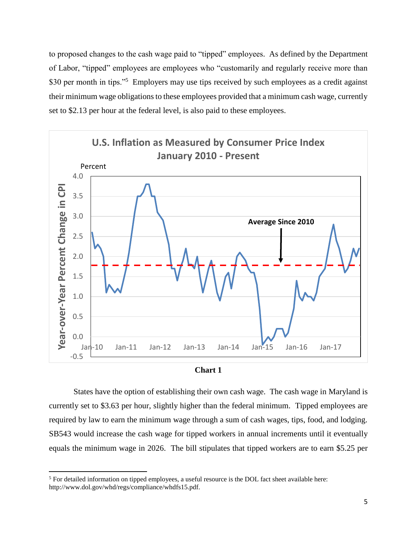to proposed changes to the cash wage paid to "tipped" employees. As defined by the Department of Labor, "tipped" employees are employees who "customarily and regularly receive more than \$30 per month in tips."<sup>5</sup> Employers may use tips received by such employees as a credit against their minimum wage obligations to these employees provided that a minimum cash wage, currently set to \$2.13 per hour at the federal level, is also paid to these employees.





States have the option of establishing their own cash wage. The cash wage in Maryland is currently set to \$3.63 per hour, slightly higher than the federal minimum. Tipped employees are required by law to earn the minimum wage through a sum of cash wages, tips, food, and lodging. SB543 would increase the cash wage for tipped workers in annual increments until it eventually equals the minimum wage in 2026. The bill stipulates that tipped workers are to earn \$5.25 per

<sup>&</sup>lt;sup>5</sup> For detailed information on tipped employees, a useful resource is the DOL fact sheet available here: http://www.dol.gov/whd/regs/compliance/whdfs15.pdf.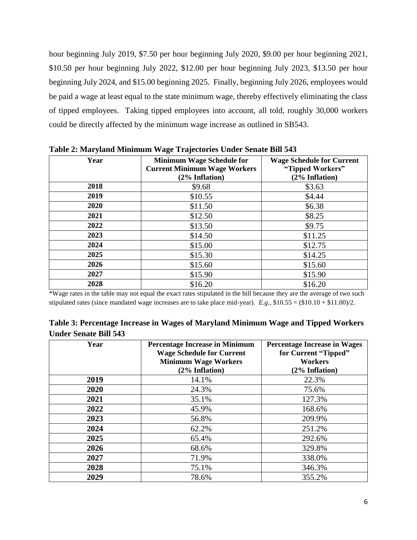hour beginning July 2019, \$7.50 per hour beginning July 2020, \$9.00 per hour beginning 2021, \$10.50 per hour beginning July 2022, \$12.00 per hour beginning July 2023, \$13.50 per hour beginning July 2024, and \$15.00 beginning 2025. Finally, beginning July 2026, employees would be paid a wage at least equal to the state minimum wage, thereby effectively eliminating the class of tipped employees. Taking tipped employees into account, all told, roughly 30,000 workers could be directly affected by the minimum wage increase as outlined in SB543.

| Year | <b>Minimum Wage Schedule for</b><br><b>Current Minimum Wage Workers</b><br>(2% Inflation) | <b>Wage Schedule for Current</b><br>"Tipped Workers"<br>(2% Inflation) |
|------|-------------------------------------------------------------------------------------------|------------------------------------------------------------------------|
| 2018 | \$9.68                                                                                    | \$3.63                                                                 |
| 2019 | \$10.55                                                                                   | \$4.44                                                                 |
| 2020 | \$11.50                                                                                   | \$6.38                                                                 |
| 2021 | \$12.50                                                                                   | \$8.25                                                                 |
| 2022 | \$13.50                                                                                   | \$9.75                                                                 |
| 2023 | \$14.50                                                                                   | \$11.25                                                                |
| 2024 | \$15.00                                                                                   | \$12.75                                                                |
| 2025 | \$15.30                                                                                   | \$14.25                                                                |
| 2026 | \$15.60                                                                                   | \$15.60                                                                |
| 2027 | \$15.90                                                                                   | \$15.90                                                                |
| 2028 | \$16.20                                                                                   | \$16.20                                                                |

**Table 2: Maryland Minimum Wage Trajectories Under Senate Bill 543**

\*Wage rates in the table may not equal the exact rates stipulated in the bill because they are the average of two such stipulated rates (since mandated wage increases are to take place mid-year). *E.g.*, \$10.55 = (\$10.10 + \$11.00)/2.

| Table 3: Percentage Increase in Wages of Maryland Minimum Wage and Tipped Workers |  |  |
|-----------------------------------------------------------------------------------|--|--|
| <b>Under Senate Bill 543</b>                                                      |  |  |

| Year | <b>Percentage Increase in Minimum</b> | <b>Percentage Increase in Wages</b> |
|------|---------------------------------------|-------------------------------------|
|      | <b>Wage Schedule for Current</b>      | for Current "Tipped"                |
|      | <b>Minimum Wage Workers</b>           | <b>Workers</b>                      |
|      | (2% Inflation)                        | (2% Inflation)                      |
| 2019 | 14.1%                                 | 22.3%                               |
| 2020 | 24.3%                                 | 75.6%                               |
| 2021 | 35.1%                                 | 127.3%                              |
| 2022 | 45.9%                                 | 168.6%                              |
| 2023 | 56.8%                                 | 209.9%                              |
| 2024 | 62.2%                                 | 251.2%                              |
| 2025 | 65.4%                                 | 292.6%                              |
| 2026 | 68.6%                                 | 329.8%                              |
| 2027 | 71.9%                                 | 338.0%                              |
| 2028 | 75.1%                                 | 346.3%                              |
| 2029 | 78.6%                                 | 355.2%                              |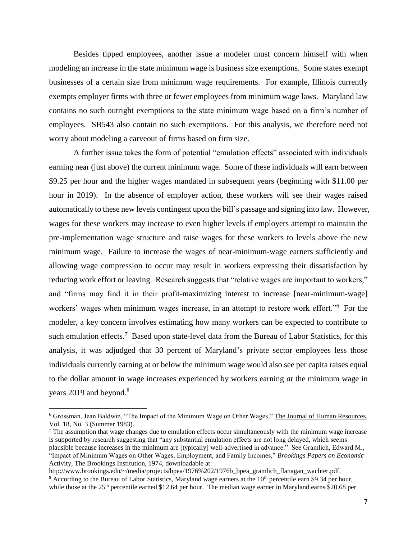Besides tipped employees, another issue a modeler must concern himself with when modeling an increase in the state minimum wage is business size exemptions. Some states exempt businesses of a certain size from minimum wage requirements. For example, Illinois currently exempts employer firms with three or fewer employees from minimum wage laws. Maryland law contains no such outright exemptions to the state minimum wage based on a firm's number of employees. SB543 also contain no such exemptions. For this analysis, we therefore need not worry about modeling a carveout of firms based on firm size.

A further issue takes the form of potential "emulation effects" associated with individuals earning near (just above) the current minimum wage. Some of these individuals will earn between \$9.25 per hour and the higher wages mandated in subsequent years (beginning with \$11.00 per hour in 2019). In the absence of employer action, these workers will see their wages raised automatically to these new levels contingent upon the bill's passage and signing into law. However, wages for these workers may increase to even higher levels if employers attempt to maintain the pre-implementation wage structure and raise wages for these workers to levels above the new minimum wage. Failure to increase the wages of near-minimum-wage earners sufficiently and allowing wage compression to occur may result in workers expressing their dissatisfaction by reducing work effort or leaving. Research suggests that "relative wages are important to workers," and "firms may find it in their profit-maximizing interest to increase [near-minimum-wage] workers' wages when minimum wages increase, in an attempt to restore work effort."<sup>6</sup> For the modeler, a key concern involves estimating how many workers can be expected to contribute to such emulation effects.<sup>7</sup> Based upon state-level data from the Bureau of Labor Statistics, for this analysis, it was adjudged that 30 percent of Maryland's private sector employees less those individuals currently earning at or below the minimum wage would also see per capita raises equal to the dollar amount in wage increases experienced by workers earning *at* the minimum wage in years 2019 and beyond.<sup>8</sup>

<sup>6</sup> Grossman, Jean Baldwin, "The Impact of the Minimum Wage on Other Wages," The Journal of Human Resources, Vol. 18, No. 3 (Summer 1983).

 $<sup>7</sup>$  The assumption that wage changes due to emulation effects occur simultaneously with the minimum wage increase</sup> is supported by research suggesting that "any substantial emulation effects are not long delayed, which seems plausible because increases in the minimum are [typically] well-advertised in advance." See Gramlich, Edward M., "Impact of Minimum Wages on Other Wages, Employment, and Family Incomes," *Brookings Papers on Economic*  Activity, The Brookings Institution, 1974, downloadable at:

http://www.brookings.edu/~/media/projects/bpea/1976%202/1976b\_bpea\_gramlich\_flanagan\_wachter.pdf. <sup>8</sup> According to the Bureau of Labor Statistics, Maryland wage earners at the 10<sup>th</sup> percentile earn \$9.34 per hour, while those at the 25<sup>th</sup> percentile earned \$12.64 per hour. The median wage earner in Maryland earns \$20.68 per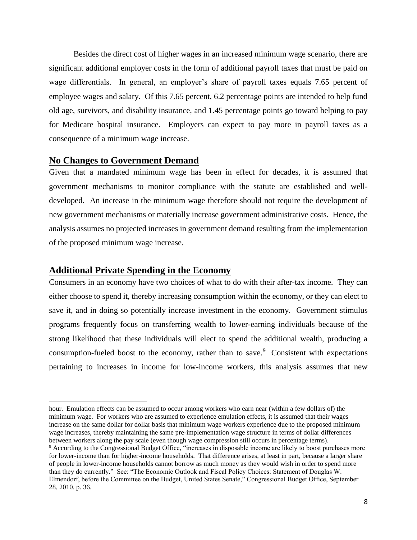Besides the direct cost of higher wages in an increased minimum wage scenario, there are significant additional employer costs in the form of additional payroll taxes that must be paid on wage differentials. In general, an employer's share of payroll taxes equals 7.65 percent of employee wages and salary. Of this 7.65 percent, 6.2 percentage points are intended to help fund old age, survivors, and disability insurance, and 1.45 percentage points go toward helping to pay for Medicare hospital insurance. Employers can expect to pay more in payroll taxes as a consequence of a minimum wage increase.

#### **No Changes to Government Demand**

Given that a mandated minimum wage has been in effect for decades, it is assumed that government mechanisms to monitor compliance with the statute are established and welldeveloped. An increase in the minimum wage therefore should not require the development of new government mechanisms or materially increase government administrative costs. Hence, the analysis assumes no projected increases in government demand resulting from the implementation of the proposed minimum wage increase.

### **Additional Private Spending in the Economy**

l

Consumers in an economy have two choices of what to do with their after-tax income. They can either choose to spend it, thereby increasing consumption within the economy, or they can elect to save it, and in doing so potentially increase investment in the economy. Government stimulus programs frequently focus on transferring wealth to lower-earning individuals because of the strong likelihood that these individuals will elect to spend the additional wealth, producing a consumption-fueled boost to the economy, rather than to save. $9$  Consistent with expectations pertaining to increases in income for low-income workers, this analysis assumes that new

hour. Emulation effects can be assumed to occur among workers who earn near (within a few dollars of) the minimum wage. For workers who are assumed to experience emulation effects, it is assumed that their wages increase on the same dollar for dollar basis that minimum wage workers experience due to the proposed minimum wage increases, thereby maintaining the same pre-implementation wage structure in terms of dollar differences between workers along the pay scale (even though wage compression still occurs in percentage terms).

<sup>9</sup> According to the Congressional Budget Office, "increases in disposable income are likely to boost purchases more for lower-income than for higher-income households. That difference arises, at least in part, because a larger share of people in lower-income households cannot borrow as much money as they would wish in order to spend more than they do currently." See: "The Economic Outlook and Fiscal Policy Choices: Statement of Douglas W. Elmendorf, before the Committee on the Budget, United States Senate," Congressional Budget Office, September 28, 2010, p. 36.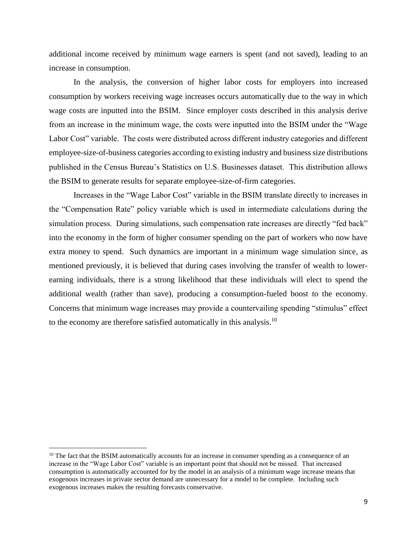additional income received by minimum wage earners is spent (and not saved), leading to an increase in consumption.

In the analysis, the conversion of higher labor costs for employers into increased consumption by workers receiving wage increases occurs automatically due to the way in which wage costs are inputted into the BSIM. Since employer costs described in this analysis derive from an increase in the minimum wage, the costs were inputted into the BSIM under the "Wage Labor Cost" variable. The costs were distributed across different industry categories and different employee-size-of-business categories according to existing industry and business size distributions published in the Census Bureau's Statistics on U.S. Businesses dataset. This distribution allows the BSIM to generate results for separate employee-size-of-firm categories.

Increases in the "Wage Labor Cost" variable in the BSIM translate directly to increases in the "Compensation Rate" policy variable which is used in intermediate calculations during the simulation process. During simulations, such compensation rate increases are directly "fed back" into the economy in the form of higher consumer spending on the part of workers who now have extra money to spend. Such dynamics are important in a minimum wage simulation since, as mentioned previously, it is believed that during cases involving the transfer of wealth to lowerearning individuals, there is a strong likelihood that these individuals will elect to spend the additional wealth (rather than save), producing a consumption-fueled boost to the economy. Concerns that minimum wage increases may provide a countervailing spending "stimulus" effect to the economy are therefore satisfied automatically in this analysis.<sup>10</sup>

l

<sup>&</sup>lt;sup>10</sup> The fact that the BSIM automatically accounts for an increase in consumer spending as a consequence of an increase in the "Wage Labor Cost" variable is an important point that should not be missed. That increased consumption is automatically accounted for by the model in an analysis of a minimum wage increase means that exogenous increases in private sector demand are unnecessary for a model to be complete. Including such exogenous increases makes the resulting forecasts conservative.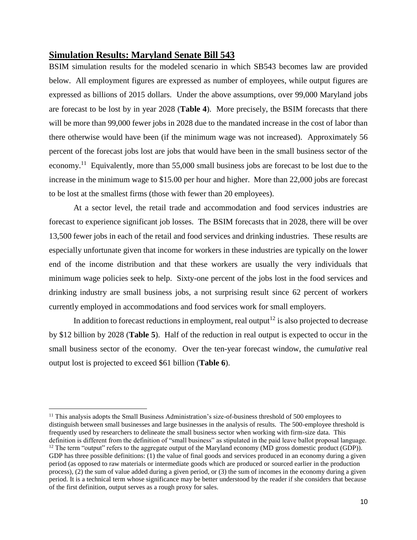#### **Simulation Results: Maryland Senate Bill 543**

BSIM simulation results for the modeled scenario in which SB543 becomes law are provided below. All employment figures are expressed as number of employees, while output figures are expressed as billions of 2015 dollars. Under the above assumptions, over 99,000 Maryland jobs are forecast to be lost by in year 2028 (**Table 4**). More precisely, the BSIM forecasts that there will be more than 99,000 fewer jobs in 2028 due to the mandated increase in the cost of labor than there otherwise would have been (if the minimum wage was not increased). Approximately 56 percent of the forecast jobs lost are jobs that would have been in the small business sector of the economy.<sup>11</sup> Equivalently, more than 55,000 small business jobs are forecast to be lost due to the increase in the minimum wage to \$15.00 per hour and higher. More than 22,000 jobs are forecast to be lost at the smallest firms (those with fewer than 20 employees).

At a sector level, the retail trade and accommodation and food services industries are forecast to experience significant job losses. The BSIM forecasts that in 2028, there will be over 13,500 fewer jobs in each of the retail and food services and drinking industries. These results are especially unfortunate given that income for workers in these industries are typically on the lower end of the income distribution and that these workers are usually the very individuals that minimum wage policies seek to help. Sixty-one percent of the jobs lost in the food services and drinking industry are small business jobs, a not surprising result since 62 percent of workers currently employed in accommodations and food services work for small employers.

In addition to forecast reductions in employment, real output<sup>12</sup> is also projected to decrease by \$12 billion by 2028 (**Table 5**). Half of the reduction in real output is expected to occur in the small business sector of the economy. Over the ten-year forecast window, the *cumulative* real output lost is projected to exceed \$61 billion (**Table 6**).

 $\overline{\phantom{a}}$ 

<sup>&</sup>lt;sup>11</sup> This analysis adopts the Small Business Administration's size-of-business threshold of 500 employees to distinguish between small businesses and large businesses in the analysis of results. The 500-employee threshold is frequently used by researchers to delineate the small business sector when working with firm-size data. This definition is different from the definition of "small business" as stipulated in the paid leave ballot proposal language.

 $12$  The term "output" refers to the aggregate output of the Maryland economy (MD gross domestic product (GDP)). GDP has three possible definitions: (1) the value of final goods and services produced in an economy during a given period (as opposed to raw materials or intermediate goods which are produced or sourced earlier in the production process), (2) the sum of value added during a given period, or (3) the sum of incomes in the economy during a given period. It is a technical term whose significance may be better understood by the reader if she considers that because of the first definition, output serves as a rough proxy for sales.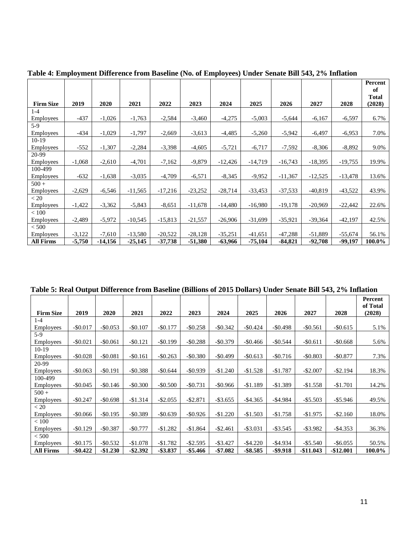|                  |          |          |           |           |           |           |           |           |           |           | Percent<br>of   |
|------------------|----------|----------|-----------|-----------|-----------|-----------|-----------|-----------|-----------|-----------|-----------------|
| <b>Firm Size</b> | 2019     | 2020     | 2021      | 2022      | 2023      | 2024      | 2025      | 2026      | 2027      | 2028      | Total<br>(2028) |
| $1 - 4$          |          |          |           |           |           |           |           |           |           |           |                 |
| <b>Employees</b> | $-437$   | $-1,026$ | $-1,763$  | $-2,584$  | $-3,460$  | $-4,275$  | $-5,003$  | $-5,644$  | $-6,167$  | $-6,597$  | 6.7%            |
| $5-9$            |          |          |           |           |           |           |           |           |           |           |                 |
| <b>Employees</b> | $-434$   | $-1,029$ | $-1,797$  | $-2,669$  | $-3,613$  | $-4,485$  | $-5,260$  | $-5,942$  | $-6,497$  | $-6,953$  | 7.0%            |
| $10-19$          |          |          |           |           |           |           |           |           |           |           |                 |
| <b>Employees</b> | $-552$   | $-1,307$ | $-2,284$  | $-3,398$  | $-4,605$  | $-5,721$  | $-6,717$  | $-7,592$  | $-8,306$  | $-8,892$  | 9.0%            |
| 20-99            |          |          |           |           |           |           |           |           |           |           |                 |
| <b>Employees</b> | $-1,068$ | $-2,610$ | $-4,701$  | $-7,162$  | $-9,879$  | $-12,426$ | $-14,719$ | $-16,743$ | $-18,395$ | $-19,755$ | 19.9%           |
| 100-499          |          |          |           |           |           |           |           |           |           |           |                 |
| <b>Employees</b> | $-632$   | $-1,638$ | $-3,035$  | $-4,709$  | $-6,571$  | $-8,345$  | $-9,952$  | $-11,367$ | $-12,525$ | $-13,478$ | 13.6%           |
| $500 +$          |          |          |           |           |           |           |           |           |           |           |                 |
| <b>Employees</b> | $-2,629$ | $-6,546$ | $-11,565$ | $-17,216$ | $-23,252$ | $-28,714$ | $-33,453$ | $-37,533$ | $-40,819$ | $-43,522$ | 43.9%           |
| < 20             |          |          |           |           |           |           |           |           |           |           |                 |
| <b>Employees</b> | $-1,422$ | $-3,362$ | $-5,843$  | $-8,651$  | $-11,678$ | $-14,480$ | $-16,980$ | $-19,178$ | $-20,969$ | $-22,442$ | 22.6%           |
| < 100            |          |          |           |           |           |           |           |           |           |           |                 |
| <b>Employees</b> | $-2,489$ | $-5,972$ | $-10,545$ | $-15,813$ | $-21,557$ | $-26,906$ | $-31,699$ | $-35,921$ | $-39,364$ | $-42,197$ | 42.5%           |
| < 500            |          |          |           |           |           |           |           |           |           |           |                 |
| <b>Employees</b> | $-3,122$ | $-7,610$ | $-13,580$ | $-20,522$ | $-28,128$ | $-35,251$ | $-41,651$ | $-47,288$ | $-51,889$ | $-55,674$ | 56.1%           |
| <b>All Firms</b> | $-5,750$ | -14,156  | $-25,145$ | $-37,738$ | -51,380   | -63,966   | -75,104   | -84,821   | -92,708   | -99,197   | 100.0%          |

**Table 4: Employment Difference from Baseline (No. of Employees) Under Senate Bill 543, 2% Inflation**

**Table 5: Real Output Difference from Baseline (Billions of 2015 Dollars) Under Senate Bill 543, 2% Inflation**

|                  |             |             |             |             |             |             |             |             |              |             | Percent<br>of Total |
|------------------|-------------|-------------|-------------|-------------|-------------|-------------|-------------|-------------|--------------|-------------|---------------------|
| <b>Firm Size</b> | 2019        | 2020        | 2021        | 2022        | 2023        | 2024        | 2025        | 2026        | 2027         | 2028        | (2028)              |
| $1-4$            |             |             |             |             |             |             |             |             |              |             |                     |
| Employees        | $-$0.017$   | $-$ \$0.053 | $-$0.107$   | $-$0.177$   | $-$0.258$   | $-$ \$0.342 | $-$0.424$   | $-$0.498$   | $-$0.561$    | $-$ \$0.615 | 5.1%                |
| $5-9$            |             |             |             |             |             |             |             |             |              |             |                     |
| <b>Employees</b> | $-$0.021$   | $-$ \$0.061 | $-$ \$0.121 | $-$0.199$   | $-$ \$0.288 | $-$0.379$   | $-$ \$0.466 | $-$0.544$   | $-$ \$0.611  | $-$ \$0.668 | 5.6%                |
| $10-19$          |             |             |             |             |             |             |             |             |              |             |                     |
| Employees        | $-$0.028$   | $-$ \$0.081 | $-$ \$0.161 | $-$ \$0.263 | $-$0.380$   | $-$ \$0.499 | $-$ \$0.613 | $-$0.716$   | $-$ \$0.803  | $-$ \$0.877 | 7.3%                |
| 20-99            |             |             |             |             |             |             |             |             |              |             |                     |
| <b>Employees</b> | $-$ \$0.063 | $-$ \$0.191 | $-$0.388$   | $-$0.644$   | $-$0.939$   | $-$1.240$   | $-$1.528$   | $-$1.787$   | $-$ \$2.007  | $-$ \$2.194 | 18.3%               |
| 100-499          |             |             |             |             |             |             |             |             |              |             |                     |
| <b>Employees</b> | $-$ \$0.045 | $-$ \$0.146 | $-$0.300$   | $-$ \$0.500 | $-$ \$0.731 | $-$ \$0.966 | $-$1.189$   | $-$1.389$   | $-$1.558$    | $-$1.701$   | 14.2%               |
| $500 +$          |             |             |             |             |             |             |             |             |              |             |                     |
| <b>Employees</b> | $-$0.247$   | $-$ \$0.698 | $-$1.314$   | $-$ \$2.055 | $-$ \$2.871 | $-$ \$3.655 | $-$ \$4.365 | $-$ \$4.984 | $-$ \$5.503  | $-$ \$5.946 | 49.5%               |
| < 20             |             |             |             |             |             |             |             |             |              |             |                     |
| <b>Employees</b> | $-$0.066$   | $-$ \$0.195 | $-$0.389$   | $-$0.639$   | $-$ \$0.926 | $-$1.220$   | $-$1.503$   | $-$1.758$   | $-$1.975$    | $-$ \$2.160 | 18.0%               |
| < 100            |             |             |             |             |             |             |             |             |              |             |                     |
| <b>Employees</b> | $-$ \$0.129 | $-$0.387$   | $-$0.777$   | $-$1.282$   | $-$1.864$   | $-$ \$2.461 | $-$ \$3.031 | $-$ \$3.545 | $-$ \$3.982  | $-$ \$4.353 | 36.3%               |
| < 500            |             |             |             |             |             |             |             |             |              |             |                     |
| <b>Employees</b> | $-$ \$0.175 | $-$ \$0.532 | $-$1.078$   | $-$1.782$   | $-$ \$2.595 | $-$ \$3.427 | $-$ \$4.220 | $-$ \$4.934 | $-$ \$5.540  | $-$ \$6.055 | 50.5%               |
| <b>All Firms</b> | $-$ \$0.422 | $-$1.230$   | -\$2.392    | $-$ \$3.837 | -\$5.466    | -\$7.082    | -\$8.585    | -\$9.918    | $-$ \$11.043 | -\$12.001   | 100.0%              |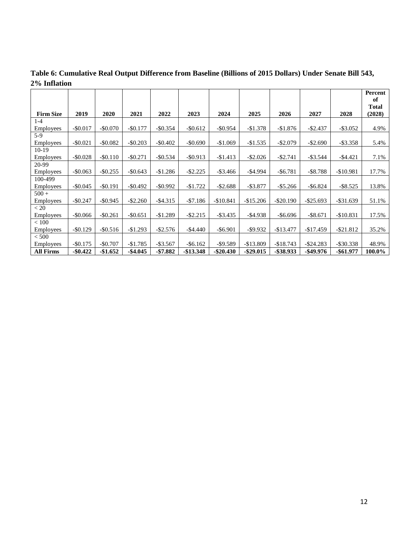|                  |             |             |             |             |             |              |             |              |              |              | Percent<br>of |
|------------------|-------------|-------------|-------------|-------------|-------------|--------------|-------------|--------------|--------------|--------------|---------------|
|                  |             |             |             |             |             |              |             |              |              |              | <b>Total</b>  |
| <b>Firm Size</b> | 2019        | 2020        | 2021        | 2022        | 2023        | 2024         | 2025        | 2026         | 2027         | 2028         | (2028)        |
| $1-4$            |             |             |             |             |             |              |             |              |              |              |               |
| <b>Employees</b> | $-$0.017$   | $-$ \$0.070 | $-$ \$0.177 | $-$ \$0.354 | $-$ \$0.612 | $-$ \$0.954  | $-$1.378$   | $-$1.876$    | $-$2.437$    | $-$ \$3.052  | 4.9%          |
| $5-9$            |             |             |             |             |             |              |             |              |              |              |               |
| Employees        | $-$ \$0.021 | $-$ \$0.082 | $-$ \$0.203 | $-$ \$0.402 | $-$ \$0.690 | $-$1.069$    | $-$1.535$   | $-$ \$2.079  | $-$ \$2.690  | $-$ \$3.358  | 5.4%          |
| $10-19$          |             |             |             |             |             |              |             |              |              |              |               |
| Employees        | $-$0.028$   | $-$ \$0.110 | $-$0.271$   | $-$0.534$   | $-$ \$0.913 | $-$1.413$    | $-$ \$2.026 | $-$ \$2.741  | $-$ \$3.544  | $-$ \$4.421  | 7.1%          |
| 20-99            |             |             |             |             |             |              |             |              |              |              |               |
| Employees        | $-$ \$0.063 | $-$ \$0.255 | $-$ \$0.643 | $-$1.286$   | $-$ \$2.225 | $-$ \$3.466  | $-$ \$4.994 | $-$ \$6.781  | $-$ \$8.788  | $-$10.981$   | 17.7%         |
| 100-499          |             |             |             |             |             |              |             |              |              |              |               |
| Employees        | $-$ \$0.045 | $-$ \$0.191 | $-$ \$0.492 | $-$ \$0.992 | $-$1.722$   | $-$ \$2.688  | $-$ \$3.877 | $-$ \$5.266  | $-$ \$6.824  | $-$ \$8.525  | 13.8%         |
| $500 +$          |             |             |             |             |             |              |             |              |              |              |               |
| Employees        | $-$0.247$   | $-$ \$0.945 | $-$ \$2.260 | $-$ \$4.315 | $- $7.186$  | $-$10.841$   | $-$15.206$  | $-$ \$20.190 | $-$ \$25.693 | $-$ \$31.639 | 51.1%         |
| < 20             |             |             |             |             |             |              |             |              |              |              |               |
| Employees        | $-$0.066$   | $-$0.261$   | $-$0.651$   | $-$1.289$   | $-$ \$2.215 | $-$ \$3.435  | $-$ \$4.938 | $-$ \$6.696  | $-$ \$8.671  | $-$10.831$   | 17.5%         |
| < 100            |             |             |             |             |             |              |             |              |              |              |               |
| Employees        | $-$ \$0.129 | $-$ \$0.516 | $-$1.293$   | $-$ \$2.576 | $-$ \$4.440 | $-$ \$6.901  | $-$ \$9.932 | $-$13.477$   | $-$17.459$   | $-$ \$21.812 | 35.2%         |
| < 500            |             |             |             |             |             |              |             |              |              |              |               |
| Employees        | $-$0.175$   | $-$0.707$   | $-$1.785$   | $-$ \$3.567 | $-$ \$6.162 | $-$ \$9.589  | $-$13.809$  | $-$18.743$   | $-$ \$24.283 | $-$ \$30.338 | 48.9%         |
| <b>All Firms</b> | $-$ \$0.422 | $-$1.652$   | -\$4.045    | $-$7.882$   | -\$13.348   | $-$ \$20.430 | -\$29.015   | -\$38.933    | -\$49.976    | -\$61.977    | 100.0%        |

**Table 6: Cumulative Real Output Difference from Baseline (Billions of 2015 Dollars) Under Senate Bill 543, 2% Inflation**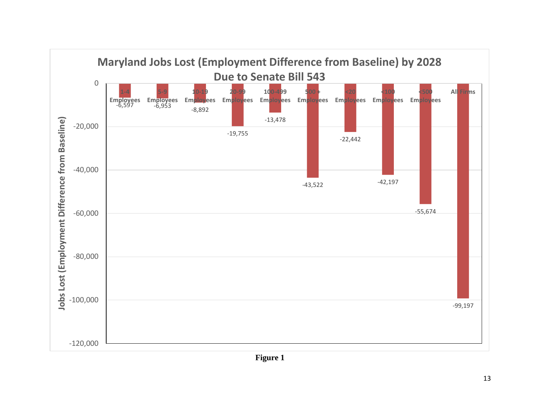

**Figure 1**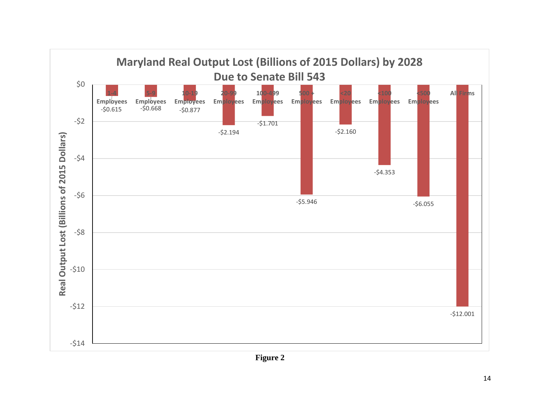

**Figure 2**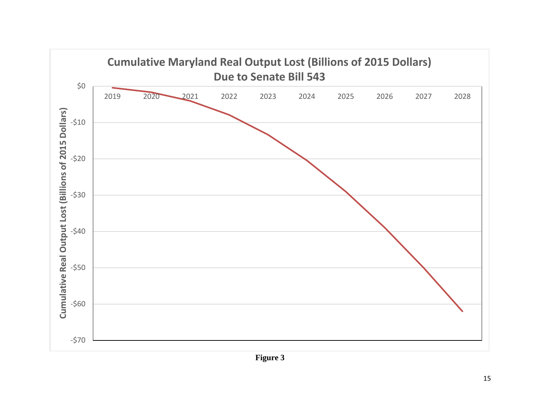

**Figure 3**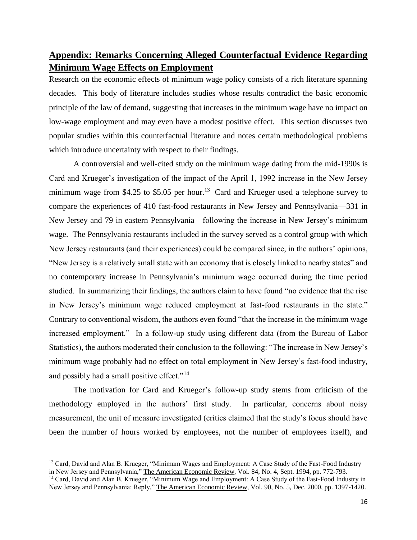## **Appendix: Remarks Concerning Alleged Counterfactual Evidence Regarding Minimum Wage Effects on Employment**

Research on the economic effects of minimum wage policy consists of a rich literature spanning decades. This body of literature includes studies whose results contradict the basic economic principle of the law of demand, suggesting that increases in the minimum wage have no impact on low-wage employment and may even have a modest positive effect. This section discusses two popular studies within this counterfactual literature and notes certain methodological problems which introduce uncertainty with respect to their findings.

A controversial and well-cited study on the minimum wage dating from the mid-1990s is Card and Krueger's investigation of the impact of the April 1, 1992 increase in the New Jersey minimum wage from \$4.25 to \$5.05 per hour.<sup>13</sup> Card and Krueger used a telephone survey to compare the experiences of 410 fast-food restaurants in New Jersey and Pennsylvania—331 in New Jersey and 79 in eastern Pennsylvania—following the increase in New Jersey's minimum wage. The Pennsylvania restaurants included in the survey served as a control group with which New Jersey restaurants (and their experiences) could be compared since, in the authors' opinions, "New Jersey is a relatively small state with an economy that is closely linked to nearby states" and no contemporary increase in Pennsylvania's minimum wage occurred during the time period studied. In summarizing their findings, the authors claim to have found "no evidence that the rise in New Jersey's minimum wage reduced employment at fast-food restaurants in the state." Contrary to conventional wisdom, the authors even found "that the increase in the minimum wage increased employment." In a follow-up study using different data (from the Bureau of Labor Statistics), the authors moderated their conclusion to the following: "The increase in New Jersey's minimum wage probably had no effect on total employment in New Jersey's fast-food industry, and possibly had a small positive effect."<sup>14</sup>

The motivation for Card and Krueger's follow-up study stems from criticism of the methodology employed in the authors' first study. In particular, concerns about noisy measurement, the unit of measure investigated (critics claimed that the study's focus should have been the number of hours worked by employees, not the number of employees itself), and

<sup>&</sup>lt;sup>13</sup> Card, David and Alan B. Krueger, "Minimum Wages and Employment: A Case Study of the Fast-Food Industry in New Jersey and Pennsylvania," The American Economic Review, Vol. 84, No. 4, Sept. 1994, pp. 772-793.

<sup>&</sup>lt;sup>14</sup> Card, David and Alan B. Krueger, "Minimum Wage and Employment: A Case Study of the Fast-Food Industry in New Jersey and Pennsylvania: Reply," The American Economic Review, Vol. 90, No. 5, Dec. 2000, pp. 1397-1420.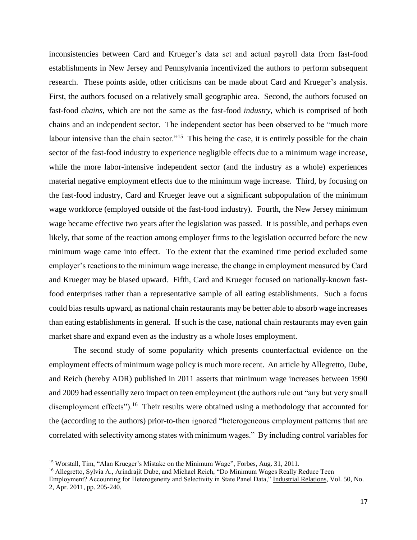inconsistencies between Card and Krueger's data set and actual payroll data from fast-food establishments in New Jersey and Pennsylvania incentivized the authors to perform subsequent research. These points aside, other criticisms can be made about Card and Krueger's analysis. First, the authors focused on a relatively small geographic area. Second, the authors focused on fast-food *chains*, which are not the same as the fast-food *industry*, which is comprised of both chains and an independent sector. The independent sector has been observed to be "much more labour intensive than the chain sector."<sup>15</sup> This being the case, it is entirely possible for the chain sector of the fast-food industry to experience negligible effects due to a minimum wage increase, while the more labor-intensive independent sector (and the industry as a whole) experiences material negative employment effects due to the minimum wage increase. Third, by focusing on the fast-food industry, Card and Krueger leave out a significant subpopulation of the minimum wage workforce (employed outside of the fast-food industry). Fourth, the New Jersey minimum wage became effective two years after the legislation was passed. It is possible, and perhaps even likely, that some of the reaction among employer firms to the legislation occurred before the new minimum wage came into effect. To the extent that the examined time period excluded some employer's reactions to the minimum wage increase, the change in employment measured by Card and Krueger may be biased upward. Fifth, Card and Krueger focused on nationally-known fastfood enterprises rather than a representative sample of all eating establishments. Such a focus could bias results upward, as national chain restaurants may be better able to absorb wage increases than eating establishments in general. If such is the case, national chain restaurants may even gain market share and expand even as the industry as a whole loses employment.

The second study of some popularity which presents counterfactual evidence on the employment effects of minimum wage policy is much more recent. An article by Allegretto, Dube, and Reich (hereby ADR) published in 2011 asserts that minimum wage increases between 1990 and 2009 had essentially zero impact on teen employment (the authors rule out "any but very small disemployment effects").<sup>16</sup> Their results were obtained using a methodology that accounted for the (according to the authors) prior-to-then ignored "heterogeneous employment patterns that are correlated with selectivity among states with minimum wages." By including control variables for

<sup>&</sup>lt;sup>15</sup> Worstall, Tim, "Alan Krueger's Mistake on the Minimum Wage", Forbes, Aug. 31, 2011.

<sup>&</sup>lt;sup>16</sup> Allegretto, Sylvia A., Arindrajit Dube, and Michael Reich, "Do Minimum Wages Really Reduce Teen Employment? Accounting for Heterogeneity and Selectivity in State Panel Data," Industrial Relations, Vol. 50, No. 2, Apr. 2011, pp. 205-240.